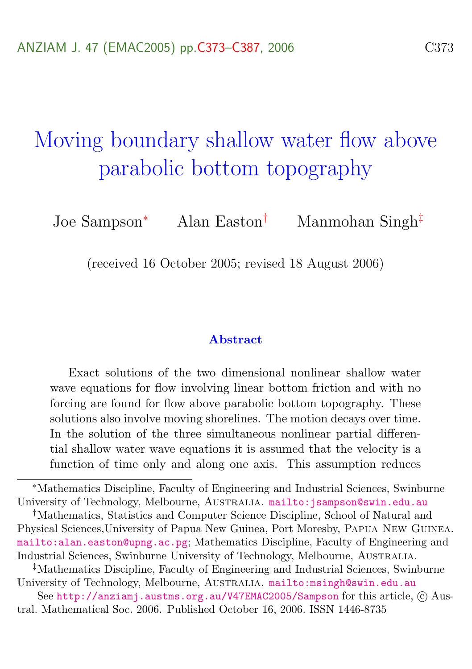# <span id="page-0-0"></span>Moving boundary shallow water flow above parabolic bottom topography

Joe Sampson<sup>∗</sup> Alan Easton† Manmohan Singh‡

(received 16 October 2005; revised 18 August 2006)

#### Abstract

Exact solutions of the two dimensional nonlinear shallow water wave equations for flow involving linear bottom friction and with no forcing are found for flow above parabolic bottom topography. These solutions also involve moving shorelines. The motion decays over time. In the solution of the three simultaneous nonlinear partial differential shallow water wave equations it is assumed that the velocity is a function of time only and along one axis. This assumption reduces

‡Mathematics Discipline, Faculty of Engineering and Industrial Sciences, Swinburne University of Technology, Melbourne, AUSTRALIA. <mailto:msingh@swin.edu.au>

See <http://anziamj.austms.org.au/V47EMAC2005/Sampson> for this article, © Austral. Mathematical Soc. 2006. Published October 16, 2006. ISSN 1446-8735

<sup>∗</sup>Mathematics Discipline, Faculty of Engineering and Industrial Sciences, Swinburne University of Technology, Melbourne, AUSTRALIA. <mailto:jsampson@swin.edu.au>

<sup>†</sup>Mathematics, Statistics and Computer Science Discipline, School of Natural and Physical Sciences,University of Papua New Guinea, Port Moresby, Papua New Guinea. <mailto:alan.easton@upng.ac.pg>; Mathematics Discipline, Faculty of Engineering and Industrial Sciences, Swinburne University of Technology, Melbourne, Australia.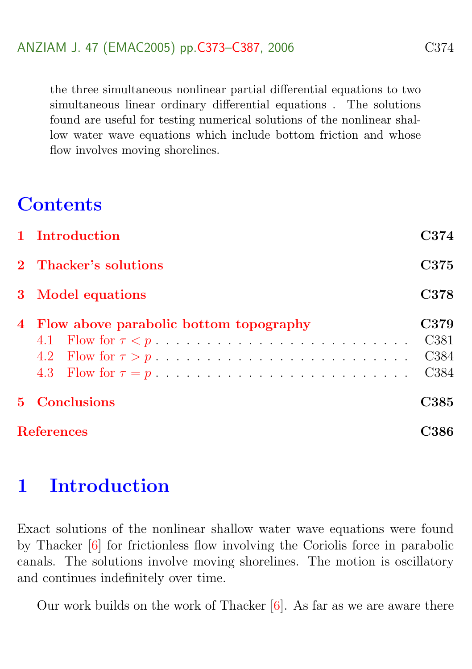<span id="page-1-1"></span>the three simultaneous nonlinear partial differential equations to two simultaneous linear ordinary differential equations . The solutions found are useful for testing numerical solutions of the nonlinear shallow water wave equations which include bottom friction and whose flow involves moving shorelines.

## **Contents**

|                   | 1 Introduction                           | C374                                                             |
|-------------------|------------------------------------------|------------------------------------------------------------------|
|                   | 2 Thacker's solutions                    | C375                                                             |
|                   | 3 Model equations                        | C378                                                             |
|                   | 4 Flow above parabolic bottom topography | C379<br>C <sub>381</sub><br>C <sub>384</sub><br>C <sub>384</sub> |
| 5 <sup>1</sup>    | Conclusions                              | C385                                                             |
| <b>References</b> |                                          | 7386                                                             |

## <span id="page-1-0"></span>1 Introduction

Exact solutions of the nonlinear shallow water wave equations were found by Thacker [\[6\]](#page-13-1) for frictionless flow involving the Coriolis force in parabolic canals. The solutions involve moving shorelines. The motion is oscillatory and continues indefinitely over time.

Our work builds on the work of Thacker  $[6]$ . As far as we are aware there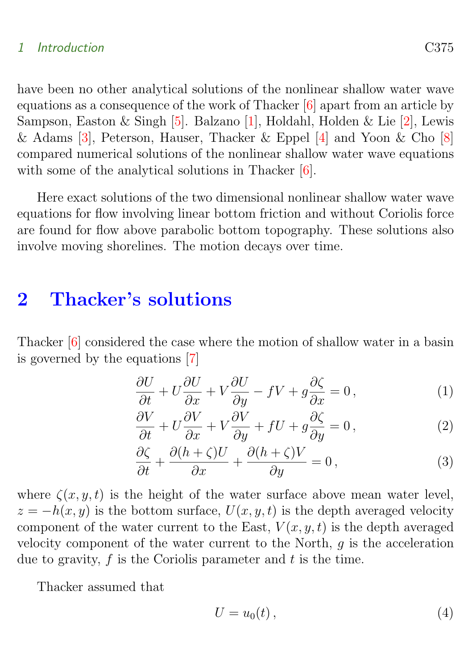#### <span id="page-2-3"></span>1 Introduction C375

have been no other analytical solutions of the nonlinear shallow water wave equations as a consequence of the work of Thacker [\[6\]](#page-13-1) apart from an article by Sampson, Easton & Singh [\[5\]](#page-13-2). Balzano [\[1\]](#page-13-3), Holdahl, Holden & Lie [\[2\]](#page-13-4), Lewis & Adams [\[3\]](#page-13-5), Peterson, Hauser, Thacker & Eppel [\[4\]](#page-13-6) and Yoon & Cho [\[8\]](#page-14-0) compared numerical solutions of the nonlinear shallow water wave equations with some of the analytical solutions in Thacker [\[6\]](#page-13-1).

Here exact solutions of the two dimensional nonlinear shallow water wave equations for flow involving linear bottom friction and without Coriolis force are found for flow above parabolic bottom topography. These solutions also involve moving shorelines. The motion decays over time.

## <span id="page-2-0"></span>2 Thacker's solutions

Thacker [\[6\]](#page-13-1) considered the case where the motion of shallow water in a basin is governed by the equations [\[7\]](#page-13-7)

$$
\frac{\partial U}{\partial t} + U \frac{\partial U}{\partial x} + V \frac{\partial U}{\partial y} - fV + g \frac{\partial \zeta}{\partial x} = 0, \qquad (1)
$$

<span id="page-2-1"></span>
$$
\frac{\partial V}{\partial t} + U \frac{\partial V}{\partial x} + V \frac{\partial V}{\partial y} + fU + g \frac{\partial \zeta}{\partial y} = 0, \qquad (2)
$$

$$
\frac{\partial \zeta}{\partial t} + \frac{\partial (h + \zeta)U}{\partial x} + \frac{\partial (h + \zeta)V}{\partial y} = 0, \qquad (3)
$$

where  $\zeta(x, y, t)$  is the height of the water surface above mean water level,  $z = -h(x, y)$  is the bottom surface,  $U(x, y, t)$  is the depth averaged velocity component of the water current to the East,  $V(x, y, t)$  is the depth averaged velocity component of the water current to the North,  $q$  is the acceleration due to gravity,  $f$  is the Coriolis parameter and  $t$  is the time.

Thacker assumed that

<span id="page-2-2"></span>
$$
U = u_0(t), \tag{4}
$$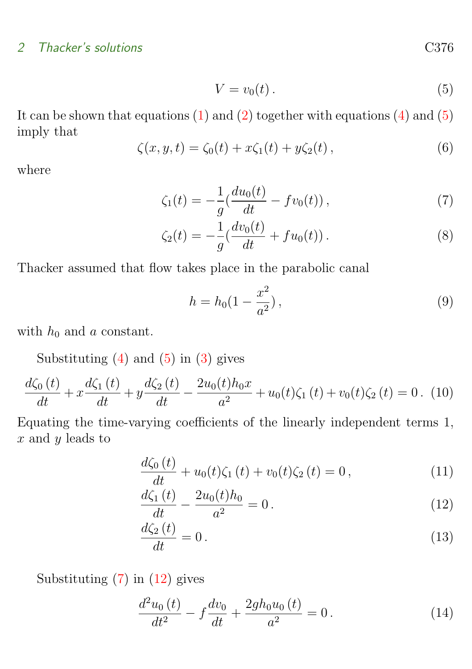#### 2 Thacker's solutions C376

$$
V = v_0(t). \tag{5}
$$

It can be shown that equations [\(1\)](#page-2-1) and [\(2\)](#page-2-1) together with equations [\(4\)](#page-2-2) and [\(5\)](#page-2-2) imply that

<span id="page-3-3"></span>
$$
\zeta(x, y, t) = \zeta_0(t) + x\zeta_1(t) + y\zeta_2(t), \qquad (6)
$$

where

$$
\zeta_1(t) = -\frac{1}{g} \left( \frac{du_0(t)}{dt} - fv_0(t) \right),\tag{7}
$$

<span id="page-3-0"></span>
$$
\zeta_2(t) = -\frac{1}{g} \left( \frac{dv_0(t)}{dt} + fu_0(t) \right). \tag{8}
$$

Thacker assumed that flow takes place in the parabolic canal

<span id="page-3-4"></span>
$$
h = h_0 \left( 1 - \frac{x^2}{a^2} \right),\tag{9}
$$

with  $h_0$  and a constant.

Substituting  $(4)$  and  $(5)$  in  $(3)$  gives

$$
\frac{d\zeta_0(t)}{dt} + x\frac{d\zeta_1(t)}{dt} + y\frac{d\zeta_2(t)}{dt} - \frac{2u_0(t)h_0x}{a^2} + u_0(t)\zeta_1(t) + v_0(t)\zeta_2(t) = 0.
$$
 (10)

Equating the time-varying coefficients of the linearly independent terms 1,  $x$  and  $y$  leads to

$$
\frac{d\zeta_0(t)}{dt} + u_0(t)\zeta_1(t) + v_0(t)\zeta_2(t) = 0, \qquad (11)
$$

<span id="page-3-1"></span>
$$
\frac{d\zeta_1(t)}{dt} - \frac{2u_0(t)h_0}{a^2} = 0.
$$
\n(12)

$$
\frac{d\zeta_2\left(t\right)}{dt} = 0\,. \tag{13}
$$

Substituting  $(7)$  in  $(12)$  gives

<span id="page-3-2"></span>
$$
\frac{d^2u_0(t)}{dt^2} - f\frac{dv_0}{dt} + \frac{2gh_0u_0(t)}{a^2} = 0.
$$
 (14)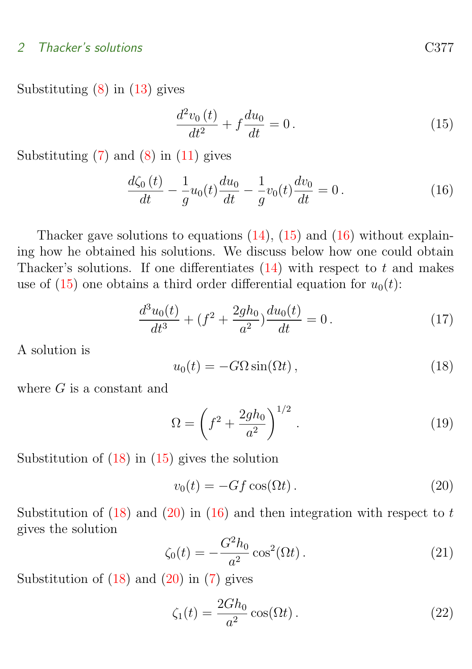#### 2 Thacker's solutions C377

Substituting  $(8)$  in  $(13)$  gives

<span id="page-4-1"></span><span id="page-4-0"></span>
$$
\frac{d^2v_0(t)}{dt^2} + f\frac{du_0}{dt} = 0.
$$
\n(15)

Substituting  $(7)$  and  $(8)$  in  $(11)$  gives

$$
\frac{d\zeta_0(t)}{dt} - \frac{1}{g}u_0(t)\frac{du_0}{dt} - \frac{1}{g}v_0(t)\frac{dv_0}{dt} = 0.
$$
\n(16)

Thacker gave solutions to equations  $(14)$ ,  $(15)$  and  $(16)$  without explaining how he obtained his solutions. We discuss below how one could obtain Thacker's solutions. If one differentiates  $(14)$  with respect to t and makes use of [\(15\)](#page-4-0) one obtains a third order differential equation for  $u_0(t)$ :

<span id="page-4-2"></span>
$$
\frac{d^3u_0(t)}{dt^3} + (f^2 + \frac{2gh_0}{a^2})\frac{du_0(t)}{dt} = 0.
$$
 (17)

A solution is

$$
u_0(t) = -G\Omega\sin(\Omega t),\qquad(18)
$$

where  $G$  is a constant and

$$
\Omega = \left(f^2 + \frac{2gh_0}{a^2}\right)^{1/2}.
$$
\n(19)

Substitution of  $(18)$  in  $(15)$  gives the solution

<span id="page-4-3"></span>
$$
v_0(t) = -Gf \cos(\Omega t). \tag{20}
$$

Substitution of  $(18)$  and  $(20)$  in  $(16)$  and then integration with respect to t gives the solution

<span id="page-4-4"></span>
$$
\zeta_0(t) = -\frac{G^2 h_0}{a^2} \cos^2(\Omega t) \,. \tag{21}
$$

Substitution of  $(18)$  and  $(20)$  in  $(7)$  gives

<span id="page-4-5"></span>
$$
\zeta_1(t) = \frac{2Gh_0}{a^2} \cos(\Omega t). \tag{22}
$$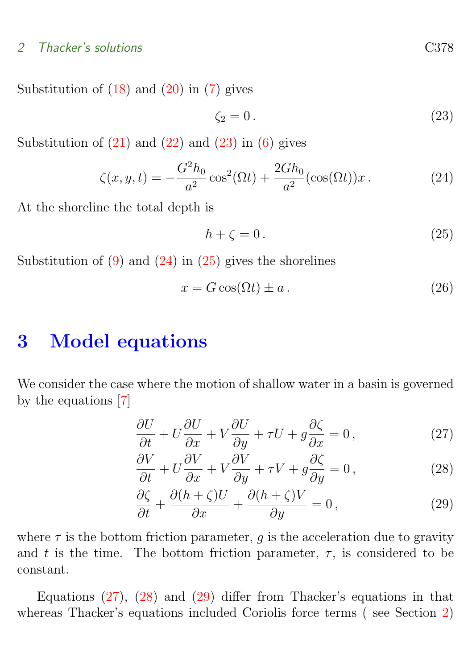#### <span id="page-5-5"></span>2 Thacker's solutions C378

Substitution of  $(18)$  and  $(20)$  in  $(7)$  gives

<span id="page-5-2"></span><span id="page-5-1"></span>
$$
\zeta_2 = 0. \tag{23}
$$

Substitution of  $(21)$  and  $(22)$  and  $(23)$  in  $(6)$  gives

$$
\zeta(x, y, t) = -\frac{G^2 h_0}{a^2} \cos^2(\Omega t) + \frac{2G h_0}{a^2} (\cos(\Omega t)) x.
$$
 (24)

At the shoreline the total depth is

<span id="page-5-3"></span>
$$
h + \zeta = 0. \tag{25}
$$

Substitution of  $(9)$  and  $(24)$  in  $(25)$  gives the shorelines

$$
x = G\cos(\Omega t) \pm a. \tag{26}
$$

## <span id="page-5-0"></span>3 Model equations

We consider the case where the motion of shallow water in a basin is governed by the equations [\[7\]](#page-13-7)

$$
\frac{\partial U}{\partial t} + U \frac{\partial U}{\partial x} + V \frac{\partial U}{\partial y} + \tau U + g \frac{\partial \zeta}{\partial x} = 0, \qquad (27)
$$

<span id="page-5-4"></span>
$$
\frac{\partial V}{\partial t} + U \frac{\partial V}{\partial x} + V \frac{\partial V}{\partial y} + \tau V + g \frac{\partial \zeta}{\partial y} = 0, \qquad (28)
$$

$$
\frac{\partial \zeta}{\partial t} + \frac{\partial (h + \zeta)U}{\partial x} + \frac{\partial (h + \zeta)V}{\partial y} = 0, \qquad (29)
$$

where  $\tau$  is the bottom friction parameter, g is the acceleration due to gravity and t is the time. The bottom friction parameter,  $\tau$ , is considered to be constant.

Equations [\(27\)](#page-5-4), [\(28\)](#page-5-4) and [\(29\)](#page-5-4) differ from Thacker's equations in that whereas Thacker's equations included Coriolis force terms ( see Section [2\)](#page-2-0)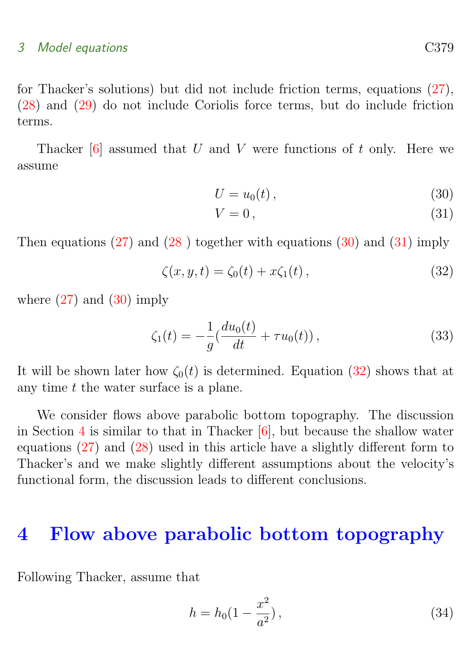#### <span id="page-6-5"></span>3 Model equations C379

for Thacker's solutions) but did not include friction terms, equations [\(27\)](#page-5-4), [\(28\)](#page-5-4) and [\(29\)](#page-5-4) do not include Coriolis force terms, but do include friction terms.

Thacker  $[6]$  assumed that U and V were functions of t only. Here we assume

<span id="page-6-1"></span>
$$
U = u_0(t), \tag{30}
$$

<span id="page-6-2"></span>
$$
V = 0, \t\t(31)
$$

Then equations  $(27)$  and  $(28)$  $(28)$  together with equations  $(30)$  and  $(31)$  imply

<span id="page-6-4"></span>
$$
\zeta(x, y, t) = \zeta_0(t) + x\zeta_1(t), \qquad (32)
$$

where  $(27)$  and  $(30)$  imply

$$
\zeta_1(t) = -\frac{1}{g} \left( \frac{du_0(t)}{dt} + \tau u_0(t) \right),\tag{33}
$$

It will be shown later how  $\zeta_0(t)$  is determined. Equation [\(32\)](#page-6-2) shows that at any time t the water surface is a plane.

We consider flows above parabolic bottom topography. The discussion in Section [4](#page-6-0) is similar to that in Thacker  $[6]$ , but because the shallow water equations [\(27\)](#page-5-4) and [\(28\)](#page-5-4) used in this article have a slightly different form to Thacker's and we make slightly different assumptions about the velocity's functional form, the discussion leads to different conclusions.

## <span id="page-6-0"></span>4 Flow above parabolic bottom topography

Following Thacker, assume that

<span id="page-6-3"></span>
$$
h = h_0 \left( 1 - \frac{x^2}{a^2} \right),\tag{34}
$$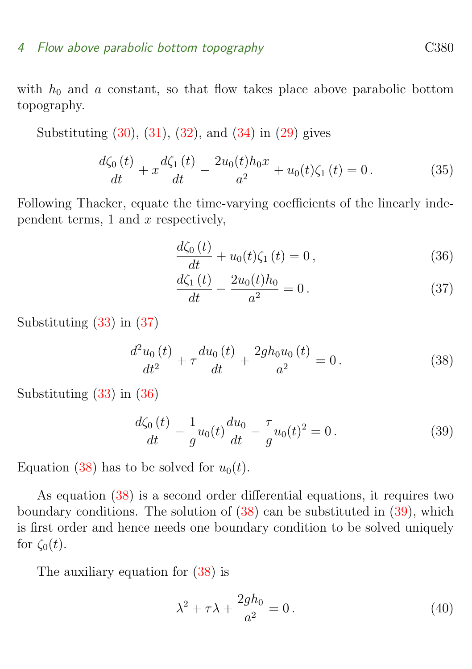#### 4 Flow above parabolic bottom topography contains the C380

with  $h_0$  and a constant, so that flow takes place above parabolic bottom topography.

Substituting [\(30\)](#page-6-1), [\(31\)](#page-6-1), [\(32\)](#page-6-2), and [\(34\)](#page-6-3) in [\(29\)](#page-5-4) gives

$$
\frac{d\zeta_0(t)}{dt} + x\frac{d\zeta_1(t)}{dt} - \frac{2u_0(t)h_0x}{a^2} + u_0(t)\zeta_1(t) = 0.
$$
\n(35)

Following Thacker, equate the time-varying coefficients of the linearly independent terms, 1 and  $x$  respectively,

$$
\frac{d\zeta_0(t)}{dt} + u_0(t)\zeta_1(t) = 0, \qquad (36)
$$

<span id="page-7-1"></span><span id="page-7-0"></span>
$$
\frac{d\zeta_1(t)}{dt} - \frac{2u_0(t)h_0}{a^2} = 0.
$$
\n(37)

Substituting [\(33\)](#page-6-4) in [\(37\)](#page-7-0)

$$
\frac{d^2u_0(t)}{dt^2} + \tau \frac{du_0(t)}{dt} + \frac{2gh_0u_0(t)}{a^2} = 0.
$$
\n(38)

Substituting [\(33\)](#page-6-4) in [\(36\)](#page-7-0)

<span id="page-7-2"></span>
$$
\frac{d\zeta_0(t)}{dt} - \frac{1}{g}u_0(t)\frac{du_0}{dt} - \frac{\tau}{g}u_0(t)^2 = 0.
$$
 (39)

Equation [\(38\)](#page-7-1) has to be solved for  $u_0(t)$ .

As equation [\(38\)](#page-7-1) is a second order differential equations, it requires two boundary conditions. The solution of  $(38)$  can be substituted in  $(39)$ , which is first order and hence needs one boundary condition to be solved uniquely for  $\zeta_0(t)$ .

The auxiliary equation for [\(38\)](#page-7-1) is

<span id="page-7-3"></span>
$$
\lambda^2 + \tau \lambda + \frac{2gh_0}{a^2} = 0.
$$
\n(40)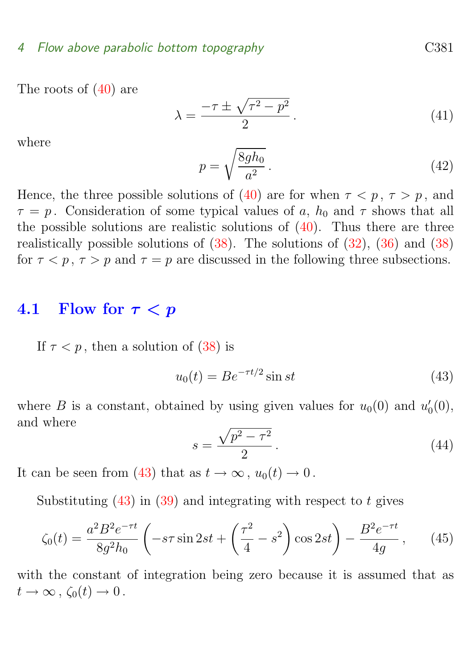The roots of [\(40\)](#page-7-3) are

$$
\lambda = \frac{-\tau \pm \sqrt{\tau^2 - p^2}}{2}.
$$
\n(41)

where

$$
p = \sqrt{\frac{8gh_0}{a^2}}.
$$
\n
$$
(42)
$$

Hence, the three possible solutions of [\(40\)](#page-7-3) are for when  $\tau < p$ ,  $\tau > p$ , and  $\tau = p$ . Consideration of some typical values of a,  $h_0$  and  $\tau$  shows that all the possible solutions are realistic solutions of  $(40)$ . Thus there are three realistically possible solutions of  $(38)$ . The solutions of  $(32)$ ,  $(36)$  and  $(38)$ for  $\tau < p$ ,  $\tau > p$  and  $\tau = p$  are discussed in the following three subsections.

### <span id="page-8-0"></span>4.1 Flow for  $\tau < p$

If  $\tau < p$ , then a solution of [\(38\)](#page-7-1) is

<span id="page-8-1"></span>
$$
u_0(t) = Be^{-\tau t/2} \sin st \tag{43}
$$

where B is a constant, obtained by using given values for  $u_0(0)$  and  $u'_0(0)$ , and where

<span id="page-8-2"></span>
$$
s = \frac{\sqrt{p^2 - \tau^2}}{2} \,. \tag{44}
$$

It can be seen from [\(43\)](#page-8-1) that as  $t \to \infty$ ,  $u_0(t) \to 0$ .

Substituting  $(43)$  in  $(39)$  and integrating with respect to t gives

$$
\zeta_0(t) = \frac{a^2 B^2 e^{-\tau t}}{8g^2 h_0} \left( -s\tau \sin 2st + \left( \frac{\tau^2}{4} - s^2 \right) \cos 2st \right) - \frac{B^2 e^{-\tau t}}{4g},\qquad(45)
$$

with the constant of integration being zero because it is assumed that as  $t\to\infty$ ,  $\zeta_0(t)\to 0$ .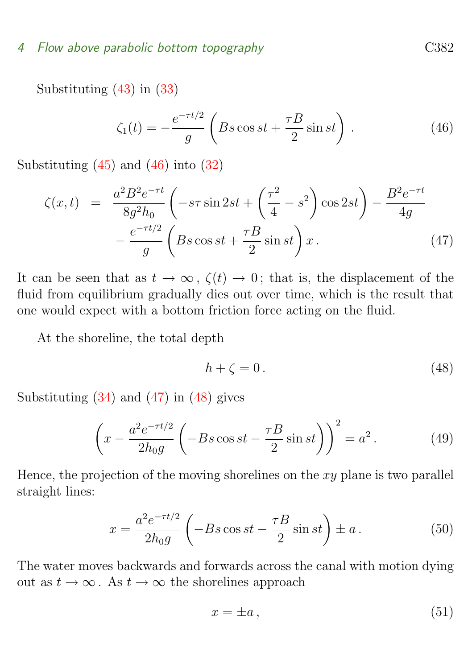Substituting [\(43\)](#page-8-1) in [\(33\)](#page-6-4)

<span id="page-9-0"></span>
$$
\zeta_1(t) = -\frac{e^{-\tau t/2}}{g} \left( Bs \cos st + \frac{\tau B}{2} \sin st \right). \tag{46}
$$

Substituting  $(45)$  and  $(46)$  into  $(32)$ 

<span id="page-9-1"></span>
$$
\zeta(x,t) = \frac{a^2 B^2 e^{-\tau t}}{8g^2 h_0} \left( -s\tau \sin 2st + \left( \frac{\tau^2}{4} - s^2 \right) \cos 2st \right) - \frac{B^2 e^{-\tau t}}{4g} - \frac{e^{-\tau t/2}}{g} \left( Bs \cos st + \frac{\tau B}{2} \sin st \right) x. \tag{47}
$$

It can be seen that as  $t \to \infty$ ,  $\zeta(t) \to 0$ ; that is, the displacement of the fluid from equilibrium gradually dies out over time, which is the result that one would expect with a bottom friction force acting on the fluid.

At the shoreline, the total depth

<span id="page-9-2"></span>
$$
h + \zeta = 0. \tag{48}
$$

Substituting [\(34\)](#page-6-3) and [\(47\)](#page-9-1) in [\(48\)](#page-9-2) gives

$$
\left(x - \frac{a^2 e^{-\tau t/2}}{2h_0 g} \left(-B s \cos st - \frac{\tau B}{2} \sin st\right)\right)^2 = a^2.
$$
 (49)

Hence, the projection of the moving shorelines on the  $xy$  plane is two parallel straight lines:

$$
x = \frac{a^2 e^{-\tau t/2}}{2h_0 g} \left(-Bs \cos st - \frac{\tau B}{2} \sin st\right) \pm a. \tag{50}
$$

The water moves backwards and forwards across the canal with motion dying out as  $t \to \infty$ . As  $t \to \infty$  the shorelines approach

$$
x = \pm a \,,\tag{51}
$$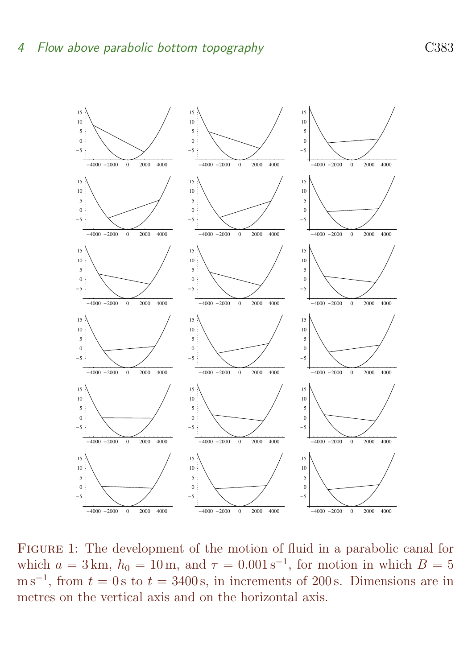

<span id="page-10-0"></span>Figure 1: The development of the motion of fluid in a parabolic canal for which  $a = 3 \text{ km}$ ,  $h_0 = 10 \text{ m}$ , and  $\tau = 0.001 \text{ s}^{-1}$ , for motion in which  $B = 5$  $\text{m s}^{-1}$ , from  $t = 0 \text{ s}$  to  $t = 3400 \text{ s}$ , in increments of 200s. Dimensions are in metres on the vertical axis and on the horizontal axis.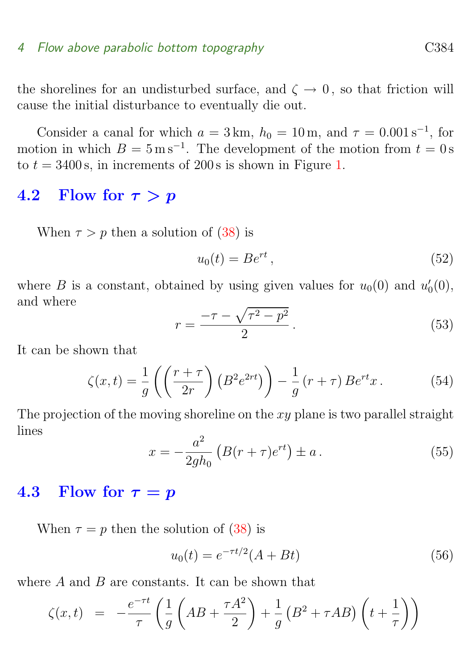the shorelines for an undisturbed surface, and  $\zeta \to 0$ , so that friction will cause the initial disturbance to eventually die out.

Consider a canal for which  $a = 3 \text{ km}$ ,  $h_0 = 10 \text{ m}$ , and  $\tau = 0.001 \text{ s}^{-1}$ , for motion in which  $B = 5 \,\mathrm{m\,s^{-1}}$ . The development of the motion from  $t = 0 \,\mathrm{s}$ to  $t = 3400$  s, in increments of 200s is shown in Figure [1.](#page-10-0)

### <span id="page-11-0"></span>4.2 Flow for  $\tau > p$

When  $\tau > p$  then a solution of [\(38\)](#page-7-1) is

$$
u_0(t) = Be^{rt},\tag{52}
$$

where B is a constant, obtained by using given values for  $u_0(0)$  and  $u'_0(0)$ , and where

$$
r = \frac{-\tau - \sqrt{\tau^2 - p^2}}{2}.
$$
\n(53)

It can be shown that

$$
\zeta(x,t) = \frac{1}{g} \left( \left( \frac{r+\tau}{2r} \right) \left( B^2 e^{2rt} \right) \right) - \frac{1}{g} \left( r+\tau \right) B e^{rt} x. \tag{54}
$$

The projection of the moving shoreline on the  $xy$  plane is two parallel straight lines

$$
x = -\frac{a^2}{2gh_0} \left( B(r+\tau)e^{rt} \right) \pm a \,. \tag{55}
$$

#### <span id="page-11-1"></span>4.3 Flow for  $\tau = p$

When  $\tau = p$  then the solution of [\(38\)](#page-7-1) is

$$
u_0(t) = e^{-\tau t/2}(A + Bt)
$$
\n(56)

where  $A$  and  $B$  are constants. It can be shown that

$$
\zeta(x,t) = -\frac{e^{-\tau t}}{\tau} \left( \frac{1}{g} \left( AB + \frac{\tau A^2}{2} \right) + \frac{1}{g} \left( B^2 + \tau AB \right) \left( t + \frac{1}{\tau} \right) \right)
$$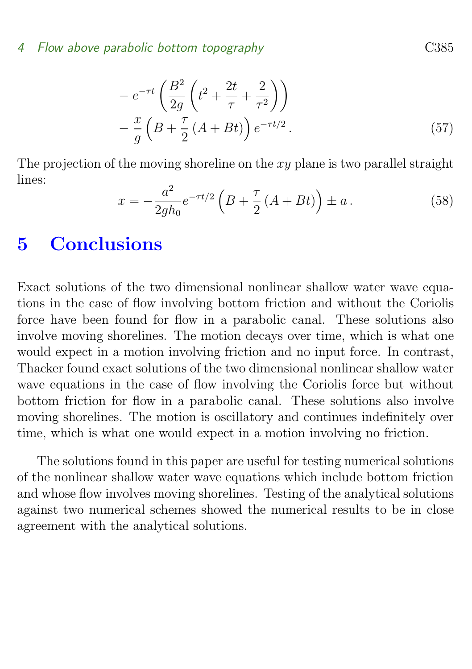$$
-e^{-\tau t}\left(\frac{B^2}{2g}\left(t^2+\frac{2t}{\tau}+\frac{2}{\tau^2}\right)\right)
$$

$$
-\frac{x}{g}\left(B+\frac{\tau}{2}\left(A+Bt\right)\right)e^{-\tau t/2}.
$$
(57)

The projection of the moving shoreline on the  $xy$  plane is two parallel straight lines:

$$
x = -\frac{a^2}{2gh_0}e^{-\tau t/2}\left(B + \frac{\tau}{2}\left(A + Bt\right)\right) \pm a\,. \tag{58}
$$

## <span id="page-12-0"></span>5 Conclusions

Exact solutions of the two dimensional nonlinear shallow water wave equations in the case of flow involving bottom friction and without the Coriolis force have been found for flow in a parabolic canal. These solutions also involve moving shorelines. The motion decays over time, which is what one would expect in a motion involving friction and no input force. In contrast, Thacker found exact solutions of the two dimensional nonlinear shallow water wave equations in the case of flow involving the Coriolis force but without bottom friction for flow in a parabolic canal. These solutions also involve moving shorelines. The motion is oscillatory and continues indefinitely over time, which is what one would expect in a motion involving no friction.

The solutions found in this paper are useful for testing numerical solutions of the nonlinear shallow water wave equations which include bottom friction and whose flow involves moving shorelines. Testing of the analytical solutions against two numerical schemes showed the numerical results to be in close agreement with the analytical solutions.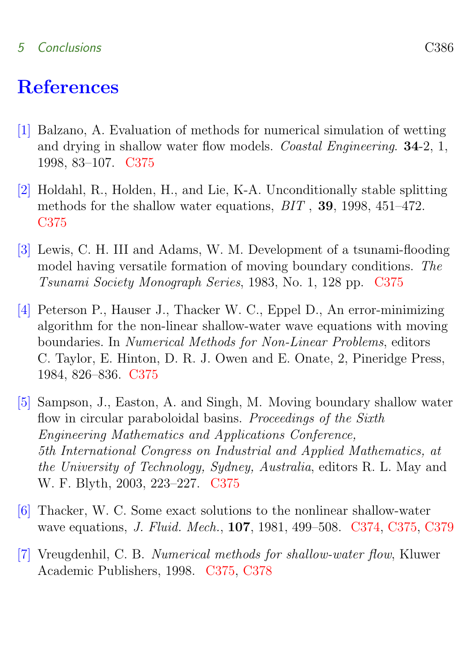#### 5 Conclusions C386

## References

- <span id="page-13-3"></span><span id="page-13-0"></span>[1] Balzano, A. Evaluation of methods for numerical simulation of wetting and drying in shallow water flow models. Coastal Engineering. 34-2, 1, 1998, 83–107. [C375](#page-2-3)
- <span id="page-13-4"></span>[2] Holdahl, R., Holden, H., and Lie, K-A. Unconditionally stable splitting methods for the shallow water equations, BIT , 39, 1998, 451–472. [C375](#page-2-3)
- <span id="page-13-5"></span>[3] Lewis, C. H. III and Adams, W. M. Development of a tsunami-flooding model having versatile formation of moving boundary conditions. The Tsunami Society Monograph Series, 1983, No. 1, 128 pp. [C375](#page-2-3)
- <span id="page-13-6"></span>[4] Peterson P., Hauser J., Thacker W. C., Eppel D., An error-minimizing algorithm for the non-linear shallow-water wave equations with moving boundaries. In Numerical Methods for Non-Linear Problems, editors C. Taylor, E. Hinton, D. R. J. Owen and E. Onate, 2, Pineridge Press, 1984, 826–836. [C375](#page-2-3)
- <span id="page-13-2"></span>[5] Sampson, J., Easton, A. and Singh, M. Moving boundary shallow water flow in circular paraboloidal basins. Proceedings of the Sixth Engineering Mathematics and Applications Conference, 5th International Congress on Industrial and Applied Mathematics, at the University of Technology, Sydney, Australia, editors R. L. May and W. F. Blyth, 2003, 223–227. [C375](#page-2-3)
- <span id="page-13-1"></span>[6] Thacker, W. C. Some exact solutions to the nonlinear shallow-water wave equations, J. Fluid. Mech., 107, 1981, 499–508. [C374,](#page-1-1) [C375,](#page-2-3) [C379](#page-6-5)
- <span id="page-13-7"></span>[7] Vreugdenhil, C. B. Numerical methods for shallow-water flow, Kluwer Academic Publishers, 1998. [C375,](#page-2-3) [C378](#page-5-5)